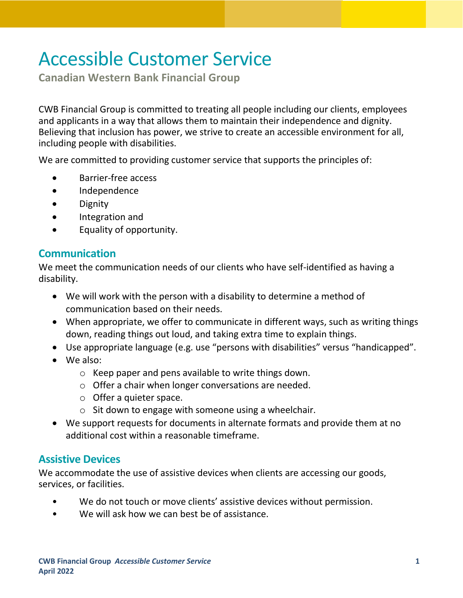# Accessible Customer Service

**Canadian Western Bank Financial Group**

CWB Financial Group is committed to treating all people including our clients, employees and applicants in a way that allows them to maintain their independence and dignity. Believing that inclusion has power, we strive to create an accessible environment for all, including people with disabilities.

We are committed to providing customer service that supports the principles of:

- Barrier-free access
- Independence
- Dignity
- Integration and
- Equality of opportunity.

### **Communication**

We meet the communication needs of our clients who have self-identified as having a disability.

- We will work with the person with a disability to determine a method of communication based on their needs.
- When appropriate, we offer to communicate in different ways, such as writing things down, reading things out loud, and taking extra time to explain things.
- Use appropriate language (e.g. use "persons with disabilities" versus "handicapped".
- We also:
	- o Keep paper and pens available to write things down.
	- o Offer a chair when longer conversations are needed.
	- o Offer a quieter space.
	- $\circ$  Sit down to engage with someone using a wheelchair.
- We support requests for documents in alternate formats and provide them at no additional cost within a reasonable timeframe.

## **Assistive Devices**

We accommodate the use of assistive devices when clients are accessing our goods, services, or facilities.

- We do not touch or move clients' assistive devices without permission.
- We will ask how we can best be of assistance.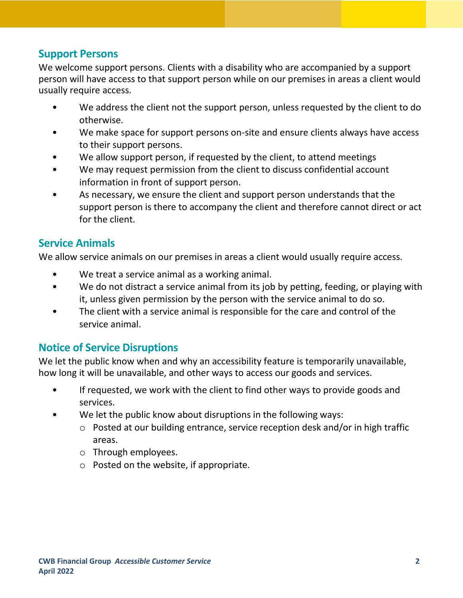#### **Support Persons**

We welcome support persons. Clients with a disability who are accompanied by a support person will have access to that support person while on our premises in areas a client would usually require access.

- We address the client not the support person, unless requested by the client to do otherwise.
- We make space for support persons on-site and ensure clients always have access to their support persons.
- We allow support person, if requested by the client, to attend meetings
- We may request permission from the client to discuss confidential account information in front of support person.
- As necessary, we ensure the client and support person understands that the support person is there to accompany the client and therefore cannot direct or act for the client.

#### **Service Animals**

We allow service animals on our premises in areas a client would usually require access.

- We treat a service animal as a working animal.
- We do not distract a service animal from its job by petting, feeding, or playing with it, unless given permission by the person with the service animal to do so.
- The client with a service animal is responsible for the care and control of the service animal.

## **Notice of Service Disruptions**

We let the public know when and why an accessibility feature is temporarily unavailable, how long it will be unavailable, and other ways to access our goods and services.

- If requested, we work with the client to find other ways to provide goods and services.
- We let the public know about disruptions in the following ways:
	- o Posted at our building entrance, service reception desk and/or in high traffic areas.
	- o Through employees.
	- o Posted on the website, if appropriate.